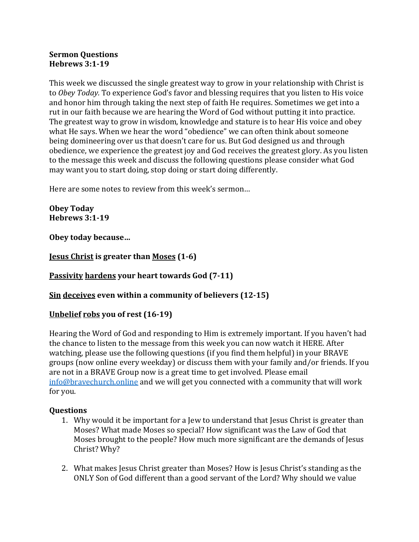## **Sermon Questions Hebrews 3:1-19**

This week we discussed the single greatest way to grow in your relationship with Christ is to Obey Today. To experience God's favor and blessing requires that you listen to His voice and honor him through taking the next step of faith He requires. Sometimes we get into a rut in our faith because we are hearing the Word of God without putting it into practice. The greatest way to grow in wisdom, knowledge and stature is to hear His voice and obey what He says. When we hear the word "obedience" we can often think about someone being domineering over us that doesn't care for us. But God designed us and through obedience, we experience the greatest joy and God receives the greatest glory. As you listen to the message this week and discuss the following questions please consider what God may want you to start doing, stop doing or start doing differently.

Here are some notes to review from this week's sermon...

**Obey Today Hebrews 3:1-19**

**Obey today because…**

**Jesus Christ is greater than Moses (1-6)**

**Passivity hardens your heart towards God (7-11)** 

## **<u>Sin deceives</u>** even within a community of believers (12-15)

## **Unbelief robs** you of rest (16-19)

Hearing the Word of God and responding to Him is extremely important. If you haven't had the chance to listen to the message from this week you can now watch it HERE. After watching, please use the following questions (if you find them helpful) in your BRAVE groups (now online every weekday) or discuss them with your family and/or friends. If you are not in a BRAVE Group now is a great time to get involved. Please email info@bravechurch.online and we will get you connected with a community that will work for you.

## **Questions**

- 1. Why would it be important for a Jew to understand that Jesus Christ is greater than Moses? What made Moses so special? How significant was the Law of God that Moses brought to the people? How much more significant are the demands of Jesus Christ? Why?
- 2. What makes Jesus Christ greater than Moses? How is Jesus Christ's standing as the ONLY Son of God different than a good servant of the Lord? Why should we value